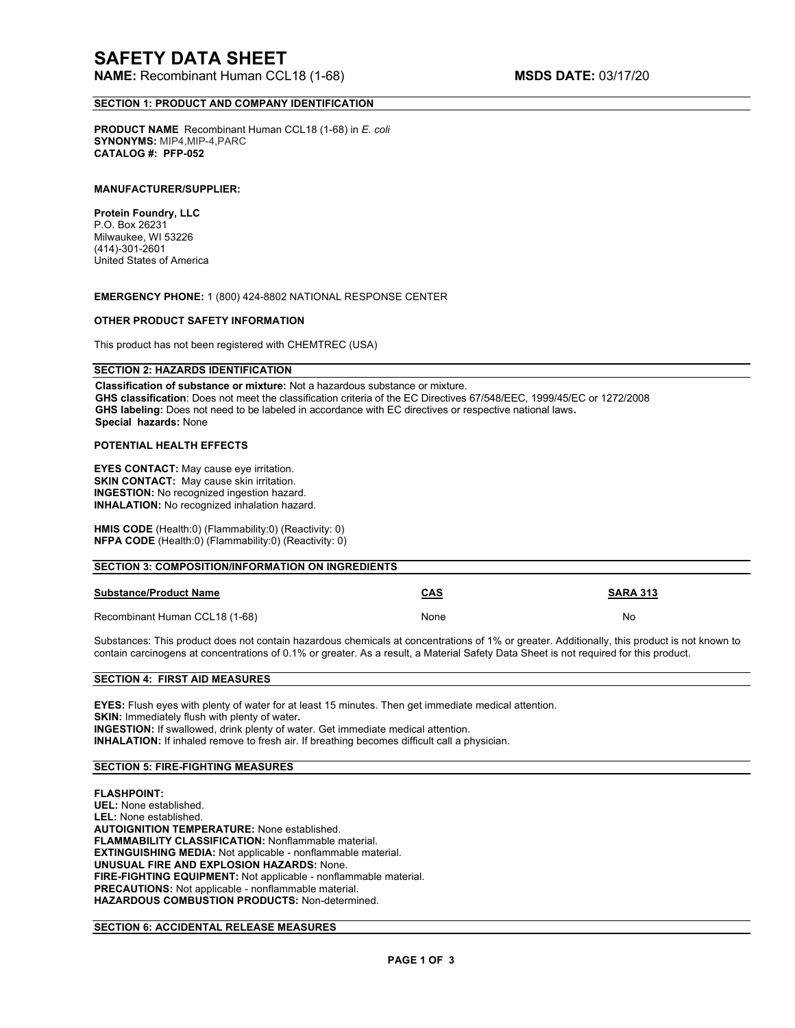**NAME:** Recombinant Human CCL18 (1-68) **MSDS DATE:** 03/17/20

## **SECTION 1: PRODUCT AND COMPANY IDENTIFICATION**

**PRODUCT NAME** Recombinant Human CCL18 (1-68) in *E. coli* **SYNONYMS:** MIP4,MIP-4,PARC **CATALOG #: PFP-052**

### **MANUFACTURER/SUPPLIER:**

**Protein Foundry, LLC**  P.O. Box 26231 Milwaukee, WI 53226 (414)-301-2601 United States of America

**EMERGENCY PHONE:** 1 (800) 424-8802 NATIONAL RESPONSE CENTER

## **OTHER PRODUCT SAFETY INFORMATION**

This product has not been registered with CHEMTREC (USA)

## **SECTION 2: HAZARDS IDENTIFICATION**

**Classification of substance or mixture:** Not a hazardous substance or mixture. **GHS classification**: Does not meet the classification criteria of the EC Directives 67/548/EEC, 1999/45/EC or 1272/2008 **GHS labeling:** Does not need to be labeled in accordance with EC directives or respective national laws**. Special hazards:** None

## **POTENTIAL HEALTH EFFECTS**

**EYES CONTACT:** May cause eye irritation. **SKIN CONTACT:** May cause skin irritation. **INGESTION:** No recognized ingestion hazard. **INHALATION:** No recognized inhalation hazard.

**HMIS CODE** (Health:0) (Flammability:0) (Reactivity: 0) **NFPA CODE** (Health:0) (Flammability:0) (Reactivity: 0)

| <b>SECTION 3: COMPOSITION/INFORMATION ON INGREDIENTS</b> |            |                 |
|----------------------------------------------------------|------------|-----------------|
| <b>Substance/Product Name</b>                            | <b>CAS</b> | <b>SARA 313</b> |
| Recombinant Human CCL18 (1-68)                           | None       | No.             |

Substances: This product does not contain hazardous chemicals at concentrations of 1% or greater. Additionally, this product is not known to contain carcinogens at concentrations of 0.1% or greater. As a result, a Material Safety Data Sheet is not required for this product.

## **SECTION 4: FIRST AID MEASURES**

**EYES:** Flush eyes with plenty of water for at least 15 minutes. Then get immediate medical attention. **SKIN:** Immediately flush with plenty of water**. INGESTION:** If swallowed, drink plenty of water. Get immediate medical attention. **INHALATION:** If inhaled remove to fresh air. If breathing becomes difficult call a physician.

#### **SECTION 5: FIRE-FIGHTING MEASURES**

**FLASHPOINT: UEL:** None established. **LEL:** None established. **AUTOIGNITION TEMPERATURE:** None established. **FLAMMABILITY CLASSIFICATION:** Nonflammable material. **EXTINGUISHING MEDIA:** Not applicable - nonflammable material. **UNUSUAL FIRE AND EXPLOSION HAZARDS:** None. **FIRE-FIGHTING EQUIPMENT:** Not applicable - nonflammable material. **PRECAUTIONS:** Not applicable - nonflammable material. **HAZARDOUS COMBUSTION PRODUCTS:** Non-determined.

## **SECTION 6: ACCIDENTAL RELEASE MEASURES**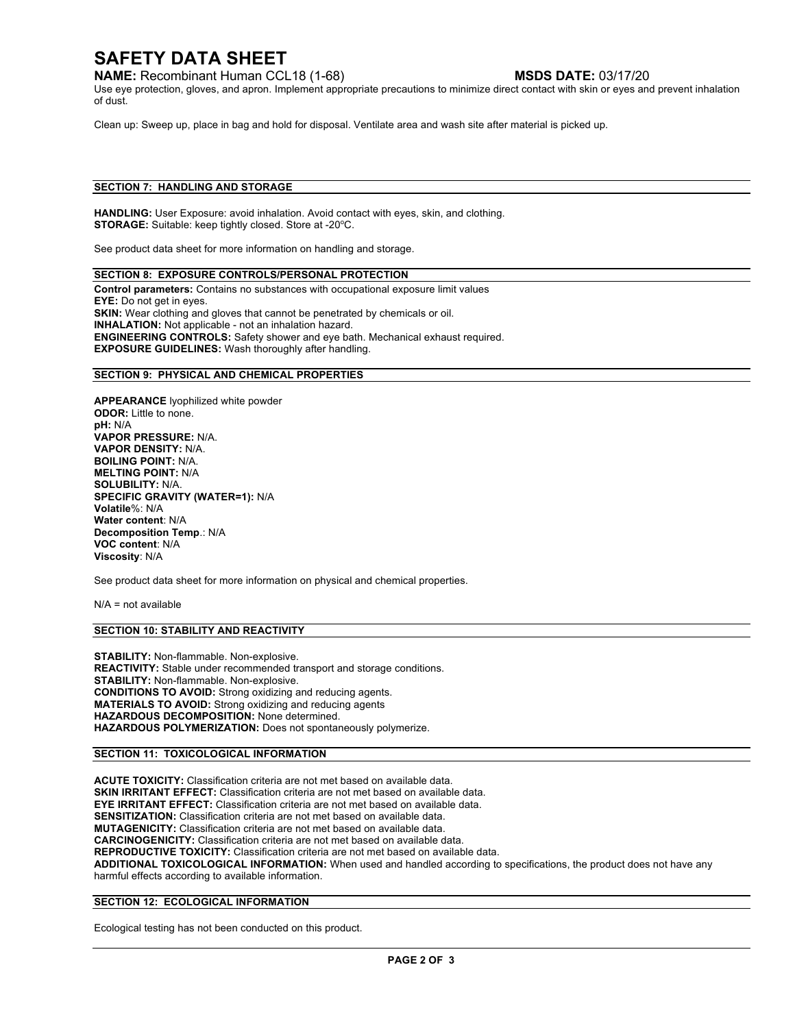# **SAFETY DATA SHEET**

**NAME:** Recombinant Human CCL18 (1-68) **MSDS DATE:** 03/17/20

Use eye protection, gloves, and apron. Implement appropriate precautions to minimize direct contact with skin or eyes and prevent inhalation of dust.

Clean up: Sweep up, place in bag and hold for disposal. Ventilate area and wash site after material is picked up.

## **SECTION 7: HANDLING AND STORAGE**

**HANDLING:** User Exposure: avoid inhalation. Avoid contact with eyes, skin, and clothing. STORAGE: Suitable: keep tightly closed. Store at -20°C.

See product data sheet for more information on handling and storage.

## **SECTION 8: EXPOSURE CONTROLS/PERSONAL PROTECTION**

**Control parameters:** Contains no substances with occupational exposure limit values **EYE:** Do not get in eyes. **SKIN:** Wear clothing and gloves that cannot be penetrated by chemicals or oil. **INHALATION:** Not applicable - not an inhalation hazard. **ENGINEERING CONTROLS:** Safety shower and eye bath. Mechanical exhaust required. **EXPOSURE GUIDELINES:** Wash thoroughly after handling.

## **SECTION 9: PHYSICAL AND CHEMICAL PROPERTIES**

**APPEARANCE** lyophilized white powder **ODOR:** Little to none. **pH:** N/A **VAPOR PRESSURE:** N/A. **VAPOR DENSITY:** N/A. **BOILING POINT:** N/A. **MELTING POINT:** N/A **SOLUBILITY:** N/A. **SPECIFIC GRAVITY (WATER=1):** N/A **Volatile**%: N/A **Water content**: N/A **Decomposition Temp**.: N/A **VOC content**: N/A **Viscosity**: N/A

See product data sheet for more information on physical and chemical properties.

 $N/A$  = not available

#### **SECTION 10: STABILITY AND REACTIVITY**

**STABILITY:** Non-flammable. Non-explosive. **REACTIVITY:** Stable under recommended transport and storage conditions. **STABILITY:** Non-flammable. Non-explosive. **CONDITIONS TO AVOID:** Strong oxidizing and reducing agents. **MATERIALS TO AVOID:** Strong oxidizing and reducing agents **HAZARDOUS DECOMPOSITION:** None determined. **HAZARDOUS POLYMERIZATION:** Does not spontaneously polymerize.

## **SECTION 11: TOXICOLOGICAL INFORMATION**

**ACUTE TOXICITY:** Classification criteria are not met based on available data. **SKIN IRRITANT EFFECT:** Classification criteria are not met based on available data. **EYE IRRITANT EFFECT:** Classification criteria are not met based on available data. **SENSITIZATION:** Classification criteria are not met based on available data. **MUTAGENICITY:** Classification criteria are not met based on available data. **CARCINOGENICITY:** Classification criteria are not met based on available data. **REPRODUCTIVE TOXICITY:** Classification criteria are not met based on available data. **ADDITIONAL TOXICOLOGICAL INFORMATION:** When used and handled according to specifications, the product does not have any harmful effects according to available information.

## **SECTION 12: ECOLOGICAL INFORMATION**

Ecological testing has not been conducted on this product.